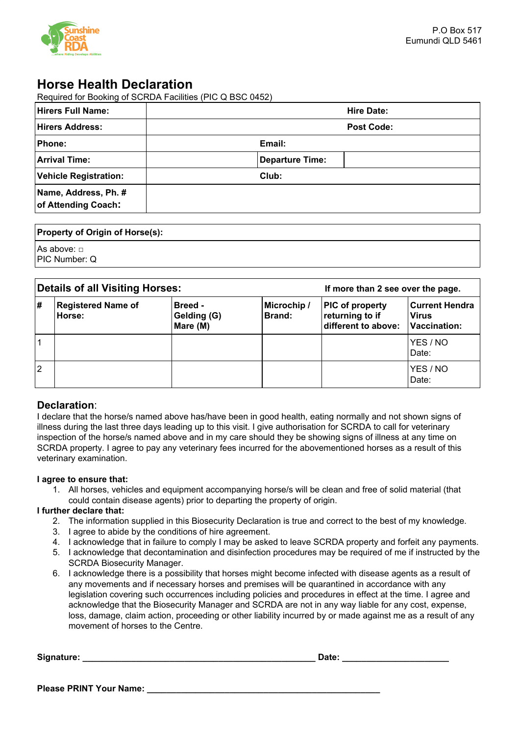

# **Horse Health Declaration**

Required for Booking of SCRDA Facilities (PIC Q BSC 0452)

| <b>Hirers Full Name:</b>                    |                 | <b>Hire Date:</b> |
|---------------------------------------------|-----------------|-------------------|
| <b>Hirers Address:</b>                      |                 | <b>Post Code:</b> |
| Phone:                                      | Email:          |                   |
| <b>Arrival Time:</b>                        | Departure Time: |                   |
| <b>Vehicle Registration:</b>                | Club:           |                   |
| Name, Address, Ph. #<br>of Attending Coach: |                 |                   |
|                                             |                 |                   |

# **Property of Origin of Horse(s):**

| As above: □   |  |
|---------------|--|
| PIC Number: Q |  |

| Details of all Visiting Horses: |                                     |                                    | If more than 2 see over the page. |                                                                  |                                                       |
|---------------------------------|-------------------------------------|------------------------------------|-----------------------------------|------------------------------------------------------------------|-------------------------------------------------------|
| l#                              | <b>Registered Name of</b><br>Horse: | Breed -<br>Gelding (G)<br>Mare (M) | Microchip /<br><b>Brand:</b>      | <b>PIC of property</b><br>returning to if<br>different to above: | <b>Current Hendra</b><br><b>Virus</b><br>Vaccination: |
|                                 |                                     |                                    |                                   |                                                                  | YES / NO<br>Date:                                     |
| $\overline{2}$                  |                                     |                                    |                                   |                                                                  | YES / NO<br>Date:                                     |

# **Declaration**:

I declare that the horse/s named above has/have been in good health, eating normally and not shown signs of illness during the last three days leading up to this visit. I give authorisation for SCRDA to call for veterinary inspection of the horse/s named above and in my care should they be showing signs of illness at any time on SCRDA property. I agree to pay any veterinary fees incurred for the abovementioned horses as a result of this veterinary examination.

# **I agree to ensure that:**

1. All horses, vehicles and equipment accompanying horse/s will be clean and free of solid material (that could contain disease agents) prior to departing the property of origin.

# **I further declare that:**

- 2. The information supplied in this Biosecurity Declaration is true and correct to the best of my knowledge.
- 3. I agree to abide by the conditions of hire agreement.
- 4. I acknowledge that in failure to comply I may be asked to leave SCRDA property and forfeit any payments.
- 5. I acknowledge that decontamination and disinfection procedures may be required of me if instructed by the SCRDA Biosecurity Manager.
- 6. I acknowledge there is a possibility that horses might become infected with disease agents as a result of any movements and if necessary horses and premises will be quarantined in accordance with any legislation covering such occurrences including policies and procedures in effect at the time. I agree and acknowledge that the Biosecurity Manager and SCRDA are not in any way liable for any cost, expense, loss, damage, claim action, proceeding or other liability incurred by or made against me as a result of any movement of horses to the Centre.

**Signature: \_\_\_\_\_\_\_\_\_\_\_\_\_\_\_\_\_\_\_\_\_\_\_\_\_\_\_\_\_\_\_\_\_\_\_\_\_\_\_\_\_\_\_\_\_\_\_\_ Date: \_\_\_\_\_\_\_\_\_\_\_\_\_\_\_\_\_\_\_\_\_\_**

**Please PRINT Your Name: \_\_\_\_\_\_\_\_\_\_\_\_\_\_\_\_\_\_\_\_\_\_\_\_\_\_\_\_\_\_\_\_\_\_\_\_\_\_\_\_\_\_\_\_\_\_\_\_**